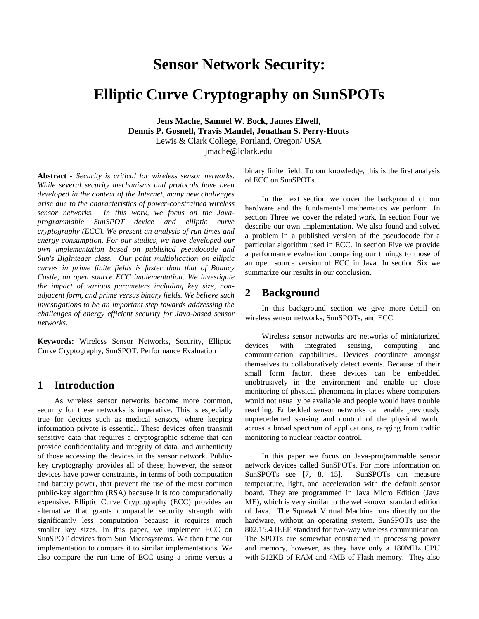# **Sensor Network Security:**

# **Elliptic Curve Cryptography on SunSPOTs**

**Jens Mache, Samuel W. Bock, James Elwell, Dennis P. Gosnell, Travis Mandel, Jonathan S. Perry-Houts** Lewis & Clark College, Portland, Oregon/ USA jmache@lclark.edu

**Abstract** *- Security is critical for wireless sensor networks. While several security mechanisms and protocols have been developed in the context of the Internet, many new challenges arise due to the characteristics of power-constrained wireless sensor networks. In this work, we focus on the Javaprogrammable SunSPOT device and elliptic curve cryptography (ECC). We present an analysis of run times and energy consumption. For our studies, we have developed our own implementation based on published pseudocode and Sun's BigInteger class. Our point multiplication on elliptic curves in prime finite fields is faster than that of Bouncy Castle, an open source ECC implementation. We investigate the impact of various parameters including key size, nonadjacent form, and prime versus binary fields. We believe such investigations to be an important step towards addressing the challenges of energy efficient security for Java-based sensor networks.*

**Keywords:** Wireless Sensor Networks, Security, Elliptic Curve Cryptography, SunSPOT, Performance Evaluation

## **1 Introduction**

As wireless sensor networks become more common, security for these networks is imperative. This is especially true for devices such as medical sensors, where keeping information private is essential. These devices often transmit sensitive data that requires a cryptographic scheme that can provide confidentiality and integrity of data, and authenticity of those accessing the devices in the sensor network. Publickey cryptography provides all of these; however, the sensor devices have power constraints, in terms of both computation and battery power, that prevent the use of the most common public-key algorithm (RSA) because it is too computationally expensive. Elliptic Curve Cryptography (ECC) provides an alternative that grants comparable security strength with significantly less computation because it requires much smaller key sizes. In this paper, we implement ECC on SunSPOT devices from Sun Microsystems. We then time our implementation to compare it to similar implementations. We also compare the run time of ECC using a prime versus a

binary finite field. To our knowledge, this is the first analysis of ECC on SunSPOTs.

In the next section we cover the background of our hardware and the fundamental mathematics we perform. In section Three we cover the related work. In section Four we describe our own implementation. We also found and solved a problem in a published version of the pseudocode for a particular algorithm used in ECC. In section Five we provide a performance evaluation comparing our timings to those of an open source version of ECC in Java. In section Six we summarize our results in our conclusion.

## **2 Background**

In this background section we give more detail on wireless sensor networks, SunSPOTs, and ECC.

Wireless sensor networks are networks of miniaturized devices with integrated sensing, computing and communication capabilities. Devices coordinate amongst themselves to collaboratively detect events. Because of their small form factor, these devices can be embedded unobtrusively in the environment and enable up close monitoring of physical phenomena in places where computers would not usually be available and people would have trouble reaching. Embedded sensor networks can enable previously unprecedented sensing and control of the physical world across a broad spectrum of applications, ranging from traffic monitoring to nuclear reactor control.

In this paper we focus on Java-programmable sensor network devices called SunSPOTs. For more information on SunSPOTs see [7, 8, 15]. SunSPOTs can measure temperature, light, and acceleration with the default sensor board. They are programmed in Java Micro Edition (Java ME), which is very similar to the well-known standard edition of Java. The Squawk Virtual Machine runs directly on the hardware, without an operating system. SunSPOTs use the 802.15.4 IEEE standard for two-way wireless communication. The SPOTs are somewhat constrained in processing power and memory, however, as they have only a 180MHz CPU with 512KB of RAM and 4MB of Flash memory. They also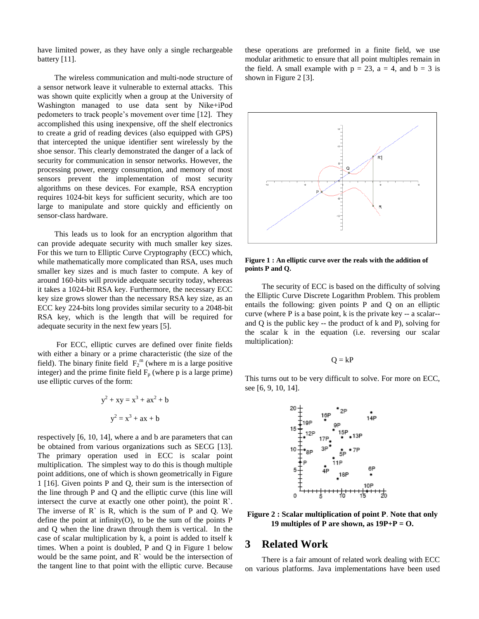have limited power, as they have only a single rechargeable battery [11].

The wireless communication and multi-node structure of a sensor network leave it vulnerable to external attacks. This was shown quite explicitly when a group at the University of Washington managed to use data sent by Nike+iPod pedometers to track people's movement over time [12]. They accomplished this using inexpensive, off the shelf electronics to create a grid of reading devices (also equipped with GPS) that intercepted the unique identifier sent wirelessly by the shoe sensor. This clearly demonstrated the danger of a lack of security for communication in sensor networks. However, the processing power, energy consumption, and memory of most sensors prevent the implementation of most security algorithms on these devices. For example, RSA encryption requires 1024-bit keys for sufficient security, which are too large to manipulate and store quickly and efficiently on sensor-class hardware.

This leads us to look for an encryption algorithm that can provide adequate security with much smaller key sizes. For this we turn to Elliptic Curve Cryptography (ECC) which, while mathematically more complicated than RSA, uses much smaller key sizes and is much faster to compute. A key of around 160-bits will provide adequate security today, whereas it takes a 1024-bit RSA key. Furthermore, the necessary ECC key size grows slower than the necessary RSA key size, as an ECC key 224-bits long provides similar security to a 2048-bit RSA key, which is the length that will be required for adequate security in the next few years [5].

For ECC, elliptic curves are defined over finite fields with either a binary or a prime characteristic (the size of the field). The binary finite field  $F_2^m$  (where m is a large positive integer) and the prime finite field  $F_p$  (where p is a large prime) use elliptic curves of the form:

$$
y^{2} + xy = x^{3} + ax^{2} + b
$$

$$
y^{2} = x^{3} + ax + b
$$

respectively [6, 10, 14], where a and b are parameters that can be obtained from various organizations such as SECG [13]. The primary operation used in ECC is scalar point multiplication. The simplest way to do this is though multiple point additions, one of which is shown geometrically in Figure 1 [16]. Given points P and Q, their sum is the intersection of the line through P and Q and the elliptic curve (this line will intersect the curve at exactly one other point), the point R`. The inverse of  $R$  is  $R$ , which is the sum of  $P$  and  $Q$ . We define the point at infinity(O), to be the sum of the points P and Q when the line drawn through them is vertical. In the case of scalar multiplication by k, a point is added to itself k times. When a point is doubled, P and Q in Figure 1 below would be the same point, and  $\mathbb{R}^k$  would be the intersection of the tangent line to that point with the elliptic curve. Because

these operations are preformed in a finite field, we use modular arithmetic to ensure that all point multiples remain in the field. A small example with  $p = 23$ ,  $a = 4$ , and  $b = 3$  is shown in Figure 2 [3].



**Figure 1 : An elliptic curve over the reals with the addition of points P and Q.**

The security of ECC is based on the difficulty of solving the Elliptic Curve Discrete Logarithm Problem. This problem entails the following: given points P and Q on an elliptic curve (where P is a base point, k is the private key -- a scalar- and Q is the public key -- the product of k and P), solving for the scalar k in the equation (i.e. reversing our scalar multiplication):

 $Q = kP$ 

This turns out to be very difficult to solve. For more on ECC, see [6, 9, 10, 14].



**Figure 2 : Scalar multiplication of point P**. **Note that only 19 multiples of P are shown, as**  $19P + P = O$ **.** 

## **3 Related Work**

There is a fair amount of related work dealing with ECC on various platforms. Java implementations have been used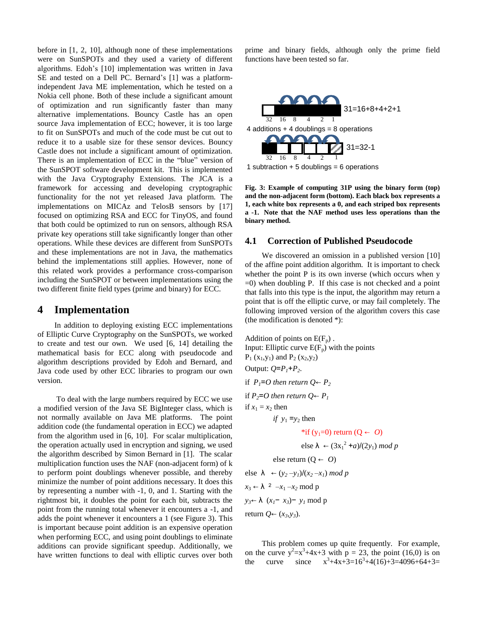before in [1, 2, 10], although none of these implementations were on SunSPOTs and they used a variety of different algorithms. Edoh's [10] implementation was written in Java SE and tested on a Dell PC. Bernard's [1] was a platformindependent Java ME implementation, which he tested on a Nokia cell phone. Both of these include a significant amount of optimization and run significantly faster than many alternative implementations. Bouncy Castle has an open source Java implementation of ECC; however, it is too large to fit on SunSPOTs and much of the code must be cut out to reduce it to a usable size for these sensor devices. Bouncy Castle does not include a significant amount of optimization. There is an implementation of ECC in the "blue" version of the SunSPOT software development kit. This is implemented with the Java Cryptography Extensions. The JCA is a framework for accessing and developing cryptographic functionality for the not yet released Java platform. The implementations on MICAz and TelosB sensors by [17] focused on optimizing RSA and ECC for TinyOS, and found that both could be optimized to run on sensors, although RSA private key operations still take significantly longer than other operations. While these devices are different from SunSPOTs and these implementations are not in Java, the mathematics behind the implementations still applies. However, none of this related work provides a performance cross-comparison including the SunSPOT or between implementations using the two different finite field types (prime and binary) for ECC.

### **4 Implementation**

In addition to deploying existing ECC implementations of Elliptic Curve Cryptography on the SunSPOTs, we worked to create and test our own. We used [6, 14] detailing the mathematical basis for ECC along with pseudocode and algorithm descriptions provided by Edoh and Bernard, and Java code used by other ECC libraries to program our own version.

To deal with the large numbers required by ECC we use a modified version of the Java SE BigInteger class, which is not normally available on Java ME platforms. The point addition code (the fundamental operation in ECC) we adapted from the algorithm used in [6, 10]. For scalar multiplication, the operation actually used in encryption and signing, we used the algorithm described by Simon Bernard in [1]. The scalar multiplication function uses the NAF (non-adjacent form) of k to perform point doublings whenever possible, and thereby minimize the number of point additions necessary. It does this by representing a number with -1, 0, and 1. Starting with the rightmost bit, it doubles the point for each bit, subtracts the point from the running total whenever it encounters a -1, and adds the point whenever it encounters a 1 (see Figure 3). This is important because point addition is an expensive operation when performing ECC, and using point doublings to eliminate additions can provide significant speedup. Additionally, we have written functions to deal with elliptic curves over both prime and binary fields, although only the prime field functions have been tested so far.



1 subtraction  $+ 5$  doublings = 6 operations

**Fig. 3: Example of computing 31P using the binary form (top) and the non-adjacent form (bottom). Each black box represents a 1, each white box represents a 0, and each striped box represents a -1. Note that the NAF method uses less operations than the binary method.**

#### **4.1 Correction of Published Pseudocode**

We discovered an omission in a published version [10] of the affine point addition algorithm. It is important to check whether the point P is its own inverse (which occurs when y  $=0$ ) when doubling P. If this case is not checked and a point that falls into this type is the input, the algorithm may return a point that is off the elliptic curve, or may fail completely. The following improved version of the algorithm covers this case (the modification is denoted \*):

Addition of points on  $E(F_n)$ . Input: Elliptic curve  $E(F_p)$  with the points  $P_1(x_1,y_1)$  and  $P_2(x_2,y_2)$ Output:  $Q = P_I + P_I$ . if  $P_1 = O$  then return  $Q \leftarrow P_2$ if  $P_2 = O$  then return  $Q \leftarrow P_1$ if  $x_1 = x_2$  then *if*  $y_1 = y_2$  then  $*if (y_1=0) return (0 \leftarrow 0)$ else  $\lambda \leftarrow (3x_1^2 + a)/(2y_1) \mod p$ else return  $(0 \leftarrow 0)$ else  $\lambda \leftarrow (y_2 - y_1)/(x_2 - x_1) \mod p$  $x_3 \leftarrow \lambda$  2 –*x*<sub>1</sub> –*x*<sub>2</sub> mod p *y3*← λ (*x1*− *x3*)− *y<sup>1</sup>* mod p return  $Q \leftarrow (x_3, y_3)$ .

This problem comes up quite frequently. For example, on the curve  $y^2 = x^3 + 4x + 3$  with  $p = 23$ , the point (16,0) is on the curve since  $x^3+4x+3=16^3+4(16)+3=4096+64+3=$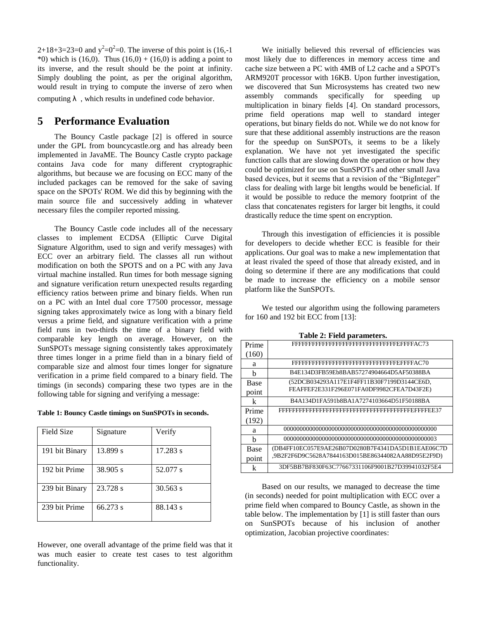2+18+3=23=0 and  $y^2=0^2=0$ . The inverse of this point is (16,-1) \*0) which is (16,0). Thus (16,0) + (16,0) is adding a point to its inverse, and the result should be the point at infinity. Simply doubling the point, as per the original algorithm, would result in trying to compute the inverse of zero when computing  $\lambda$ , which results in undefined code behavior.

# **5 Performance Evaluation**

The Bouncy Castle package [2] is offered in source under the GPL from bouncycastle.org and has already been implemented in JavaME. The Bouncy Castle crypto package contains Java code for many different cryptographic algorithms, but because we are focusing on ECC many of the included packages can be removed for the sake of saving space on the SPOTs' ROM. We did this by beginning with the main source file and successively adding in whatever necessary files the compiler reported missing.

The Bouncy Castle code includes all of the necessary classes to implement ECDSA (Elliptic Curve Digital Signature Algorithm, used to sign and verify messages) with ECC over an arbitrary field. The classes all run without modification on both the SPOTS and on a PC with any Java virtual machine installed. Run times for both message signing and signature verification return unexpected results regarding efficiency ratios between prime and binary fields. When run on a PC with an Intel dual core T7500 processor, message signing takes approximately twice as long with a binary field versus a prime field, and signature verification with a prime field runs in two-thirds the time of a binary field with comparable key length on average. However, on the SunSPOTs message signing consistently takes approximately three times longer in a prime field than in a binary field of comparable size and almost four times longer for signature verification in a prime field compared to a binary field. The timings (in seconds) comparing these two types are in the following table for signing and verifying a message:

| Table 1: Bouncy Castle timings on SunSPOTs in seconds. |  |  |  |  |  |
|--------------------------------------------------------|--|--|--|--|--|
|--------------------------------------------------------|--|--|--|--|--|

| Field Size     | Signature  | Verify     |
|----------------|------------|------------|
| 191 bit Binary | 13.899 s   | 17.283 s   |
| 192 bit Prime  | 38.905 s   | 52.077 s   |
| 239 bit Binary | 23.728 s   | $30.563$ s |
| 239 bit Prime  | $66.273$ s | 88.143 s   |

However, one overall advantage of the prime field was that it was much easier to create test cases to test algorithm functionality.

We initially believed this reversal of efficiencies was most likely due to differences in memory access time and cache size between a PC with 4MB of L2 cache and a SPOT's ARM920T processor with 16KB. Upon further investigation, we discovered that Sun Microsystems has created two new assembly commands specifically for speeding up multiplication in binary fields [4]. On standard processors, prime field operations map well to standard integer operations, but binary fields do not. While we do not know for sure that these additional assembly instructions are the reason for the speedup on SunSPOTs, it seems to be a likely explanation. We have not yet investigated the specific function calls that are slowing down the operation or how they could be optimized for use on SunSPOTs and other small Java based devices, but it seems that a revision of the "BigInteger" class for dealing with large bit lengths would be beneficial. If it would be possible to reduce the memory footprint of the class that concatenates registers for larger bit lengths, it could drastically reduce the time spent on encryption.

Through this investigation of efficiencies it is possible for developers to decide whether ECC is feasible for their applications. Our goal was to make a new implementation that at least rivaled the speed of those that already existed, and in doing so determine if there are any modifications that could be made to increase the efficiency on a mobile sensor platform like the SunSPOTs.

We tested our algorithm using the following parameters for 160 and 192 bit ECC from [13]:

| Prime       |                                                    |
|-------------|----------------------------------------------------|
| (160)       |                                                    |
| a           |                                                    |
| h           | B4E134D3FB59Eb8BAB57274904664D5AF50388BA           |
| Base        | (52DCB034293A117E1F4FF11B30F7199D3144CE6D,         |
| point       | FEAFFEF2E331F296E071FA0DF9982CFEA7D43F2E)          |
| k           | B4A134D1FA591b8BA1A7274103664D51F50188BA           |
| Prime       |                                                    |
| (192)       |                                                    |
| a           |                                                    |
| h           |                                                    |
| <b>Base</b> | (DB4FF10EC057E9AE26B07D0280B7F4341DA5D1B1EAE06C7D  |
| point       | .9B2F2F6D9C5628A7844163D015BE86344082AA88D95E2F9D) |
| k           | 3DF5BB7BF830F63C77667331106F9001B27D39941032F5E4   |

**Table 2: Field parameters.**

Based on our results, we managed to decrease the time (in seconds) needed for point multiplication with ECC over a prime field when compared to Bouncy Castle, as shown in the table below. The implementation by [1] is still faster than ours on SunSPOTs because of his inclusion of another optimization, Jacobian projective coordinates: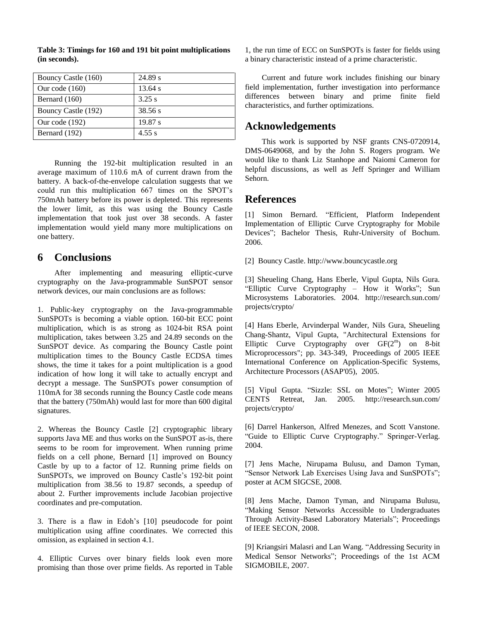| Bouncy Castle (160) | 24.89 s   |
|---------------------|-----------|
| Our code $(160)$    | $13.64$ s |
| Bernard $(160)$     | 3.25 s    |
| Bouncy Castle (192) | 38.56 s   |
| Our code $(192)$    | 19.87 s   |
| Bernard (192)       | 4.55 s    |

**Table 3: Timings for 160 and 191 bit point multiplications (in seconds).**

Running the 192-bit multiplication resulted in an average maximum of 110.6 mA of current drawn from the battery. A back-of-the-envelope calculation suggests that we could run this multiplication 667 times on the SPOT's 750mAh battery before its power is depleted. This represents the lower limit, as this was using the Bouncy Castle implementation that took just over 38 seconds. A faster implementation would yield many more multiplications on one battery.

# **6 Conclusions**

After implementing and measuring elliptic-curve cryptography on the Java-programmable SunSPOT sensor network devices, our main conclusions are as follows:

1. Public-key cryptography on the Java-programmable SunSPOTs is becoming a viable option. 160-bit ECC point multiplication, which is as strong as 1024-bit RSA point multiplication, takes between 3.25 and 24.89 seconds on the SunSPOT device. As comparing the Bouncy Castle point multiplication times to the Bouncy Castle ECDSA times shows, the time it takes for a point multiplication is a good indication of how long it will take to actually encrypt and decrypt a message. The SunSPOTs power consumption of 110mA for 38 seconds running the Bouncy Castle code means that the battery (750mAh) would last for more than 600 digital signatures.

2. Whereas the Bouncy Castle [2] cryptographic library supports Java ME and thus works on the SunSPOT as-is, there seems to be room for improvement. When running prime fields on a cell phone, Bernard [1] improved on Bouncy Castle by up to a factor of 12. Running prime fields on SunSPOTs, we improved on Bouncy Castle's 192-bit point multiplication from 38.56 to 19.87 seconds, a speedup of about 2. Further improvements include Jacobian projective coordinates and pre-computation.

3. There is a flaw in Edoh's [10] pseudocode for point multiplication using affine coordinates. We corrected this omission, as explained in section 4.1.

4. Elliptic Curves over binary fields look even more promising than those over prime fields. As reported in Table

1, the run time of ECC on SunSPOTs is faster for fields using a binary characteristic instead of a prime characteristic.

Current and future work includes finishing our binary field implementation, further investigation into performance differences between binary and prime finite field characteristics, and further optimizations.

## **Acknowledgements**

This work is supported by NSF grants CNS-0720914, DMS-0649068, and by the John S. Rogers program. We would like to thank Liz Stanhope and Naiomi Cameron for helpful discussions, as well as Jeff Springer and William Sehorn.

## **References**

[1] Simon Bernard. "Efficient, Platform Independent Implementation of Elliptic Curve Cryptography for Mobile Devices"; Bachelor Thesis, Ruhr-University of Bochum. 2006.

[2] Bouncy Castle. http://www.bouncycastle.org

[3] Sheueling Chang, Hans Eberle, Vipul Gupta, Nils Gura. "Elliptic Curve Cryptography – How it Works"; Sun Microsystems Laboratories. 2004. http://research.sun.com/ projects/crypto/

[4] Hans Eberle, Arvinderpal Wander, Nils Gura, Sheueling Chang-Shantz, Vipul Gupta, "Architectural Extensions for Elliptic Curve Cryptography over GF(2<sup>m</sup>) on 8-bit Microprocessors"; pp. 343-349, Proceedings of 2005 IEEE International Conference on Application-Specific Systems, Architecture Processors (ASAP'05), 2005.

[5] Vipul Gupta. "Sizzle: SSL on Motes"; Winter 2005 CENTS Retreat, Jan. 2005. http://research.sun.com/ projects/crypto/

[6] Darrel Hankerson, Alfred Menezes, and Scott Vanstone. "Guide to Elliptic Curve Cryptography." Springer-Verlag. 2004.

[7] Jens Mache, Nirupama Bulusu, and Damon Tyman, "Sensor Network Lab Exercises Using Java and SunSPOTs"; poster at ACM SIGCSE, 2008.

[8] Jens Mache, Damon Tyman, and Nirupama Bulusu, "Making Sensor Networks Accessible to Undergraduates Through Activity-Based Laboratory Materials"; Proceedings of IEEE SECON, 2008.

[9] Kriangsiri Malasri and Lan Wang. "Addressing Security in Medical Sensor Networks"; Proceedings of the 1st ACM SIGMOBILE, 2007.